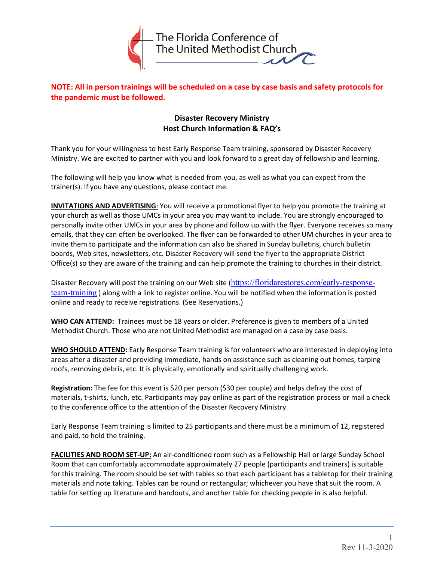

**NOTE: All in person trainings will be scheduled on a case by case basis and safety protocols for the pandemic must be followed.** 

## **Disaster Recovery Ministry Host Church Information & FAQ's**

Thank you for your willingness to host Early Response Team training, sponsored by Disaster Recovery Ministry. We are excited to partner with you and look forward to a great day of fellowship and learning.

The following will help you know what is needed from you, as well as what you can expect from the trainer(s). If you have any questions, please contact me.

**INVITATIONS AND ADVERTISING**: You will receive a promotional flyer to help you promote the training at your church as well as those UMCs in your area you may want to include. You are strongly encouraged to personally invite other UMCs in your area by phone and follow up with the flyer. Everyone receives so many emails, that they can often be overlooked. The flyer can be forwarded to other UM churches in your area to invite them to participate and the information can also be shared in Sunday bulletins, church bulletin boards, Web sites, newsletters, etc. Disaster Recovery will send the flyer to the appropriate District Office(s) so they are aware of the training and can help promote the training to churches in their district.

Disaster Recovery will post the training on our Web site (https://floridarestores.com/early-responseteam-training) along with a link to register online. You will be notified when the information is posted online and ready to receive registrations. (See Reservations.)

**WHO CAN ATTEND:** Trainees must be 18 years or older. Preference is given to members of a United Methodist Church. Those who are not United Methodist are managed on a case by case basis.

**WHO SHOULD ATTEND:** Early Response Team training is for volunteers who are interested in deploying into areas after a disaster and providing immediate, hands on assistance such as cleaning out homes, tarping roofs, removing debris, etc. It is physically, emotionally and spiritually challenging work.

**Registration:** The fee for this event is \$20 per person (\$30 per couple) and helps defray the cost of materials, t-shirts, lunch, etc. Participants may pay online as part of the registration process or mail a check to the conference office to the attention of the Disaster Recovery Ministry.

Early Response Team training is limited to 25 participants and there must be a minimum of 12, registered and paid, to hold the training.

**FACILITIES AND ROOM SET‐UP:** An air‐conditioned room such as a Fellowship Hall or large Sunday School Room that can comfortably accommodate approximately 27 people (participants and trainers) is suitable for this training. The room should be set with tables so that each participant has a tabletop for their training materials and note taking. Tables can be round or rectangular; whichever you have that suit the room. A table for setting up literature and handouts, and another table for checking people in is also helpful.